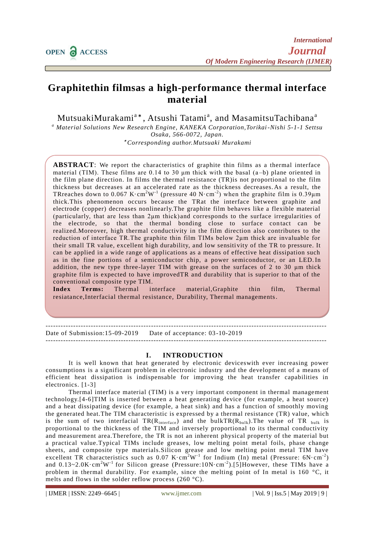# **Graphitethin filmsas a high-performance thermal interface material**

MutsuakiMurakami<sup>a\*</sup>, Atsushi Tatami<sup>a</sup>, and MasamitsuTachibana<sup>a</sup>

*<sup>a</sup> Material Solutions New Research Engine, KANEKA Corporation,Torikai-Nishi 5-1-1 Settsu Osaka, 566-0072, Japan.*

\* *Corresponding author.Mutsuaki Murakami*

**ABSTRACT**: We report the characteristics of graphite thin films as a thermal interface material (TIM). These films are  $0.14$  to 30 µm thick with the basal (a-b) plane oriented in the film plane direction. In films the thermal resistance (TR)is not proportional to the film thickness but decreases at an accelerated rate as the thickness decreases. As a result, the TR reaches down to 0.067 K $\cdot$  cm<sup>2</sup>W<sup>-1</sup> (pressure 40 N $\cdot$  cm<sup>-2</sup>) when the graphite film is 0.39 $\mu$ m thick.This phenomenon occurs because the TRat the interface between graphite and electrode (copper) decreases nonlinearly.The graphite film behaves like a flexible material (particularly, that are less than 2μm thick) and corresponds to the surface irregularities of the electrode, so that the thermal bonding close to surface contact can be realized.Moreover, high thermal conductivity in the film direction also contributes to the reduction of interface TR.The graphite thin film TIMs below 2μm thick are invaluable for their small TR value, excellent high durability, and low sensiti vity of the TR to pressure. It can be applied in a wide range of applications as a means of effective heat dissipation such as in the fine portions of a semiconductor chip, a power semiconductor, or an LED.In addition, the new type three-layer TIM with grease on the surfaces of 2 to 30 μm thick graphite film is expected to have improvedTR and durability that is superior to that of the conventional composite type TIM.

**Index Terms:** Thermal interface material,Graphite thin film, Thermal resiatance,Interfacial thermal resistance, Durability, Thermal managements.

## ----------------------------------------------------------------------------------------------------------------

Date of Submission:15-09-2019 Date of acceptance: 03-10-2019 ----------------------------------------------------------------------------------------------------------------

## **I. INTRODUCTION**

It is well known that heat generated by electronic deviceswith ever increasing power consumptions is a significant problem in electronic industry and the development of a means of efficient heat dissipation is indispensable for improving the heat transfer capabilities in electronics. [1-3]

Thermal interface material (TIM) is a very important component in thermal management technology.[4-6]TIM is inserted between a heat generating device (for example, a heat source) and a heat dissipating device (for example, a heat sink) and has a function of smoothly moving the generated heat.The TIM characteristic is expressed by a thermal resistance (TR) value, which is the sum of two interfacial  $TR(R<sub>interface</sub>)$  and the bulkTR( $R<sub>bulk</sub>$ ). The value of TR  $_{bulk}$  is proportional to the thickness of the TIM and inversely proportional to its thermal conductivity and measurement area.Therefore, the TR is not an inherent physical property of the material but a practical value.Typical TIMs include greases, low melting point metal foils, phase change sheets, and composite type materials.Silicon grease and low melting point metal TIM have excellent TR characteristics such as  $0.07 \text{ K} \cdot \text{cm}^2 \text{W}^{-1}$  for Indium (In) metal (Pressure:  $6 \text{N} \cdot \text{cm}^{-2}$ ) and  $0.13~2.0$ K·cm<sup>2</sup>W<sup>-1</sup> for Silicon grease (Pressure:10N·cm<sup>-2</sup>).[5]However, these TIMs have a problem in thermal durability. For example, since the melting point of In metal is 160 °C, it melts and flows in the solder reflow process (260 °C).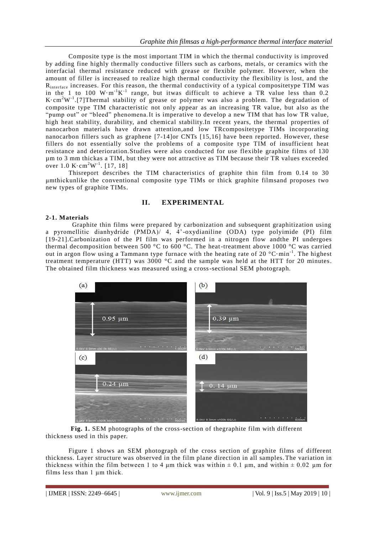Composite type is the most important TIM in which the thermal conductivity is improved by adding fine highly thermally conductive fillers such as carbons, metals, or ceramics with the interfacial thermal resistance reduced with grease or flexible polymer. However, when the amount of filler is increased to realize high thermal conductivity the flexibility is lost, and the R<sub>interface</sub> increases. For this reason, the thermal conductivity of a typical compositetype TIM was in the 1 to 100  $W \cdot m^{-1}K^{-1}$  range, but itwas difficult to achieve a TR value less than 0.2 K $\cdot$ cm<sup>2</sup>W<sup>-1</sup>.[7]Thermal stability of grease or polymer was also a problem. The degradation of composite type TIM characteristic not only appear as an increasing TR value, but also as the "pump out" or "bleed" phenomena.It is imperative to develop a new TIM that has low TR value, high heat stability, durability, and chemical stability. In recent years, the thermal properties of nanocarbon materials have drawn attention,and low TRcompositetype TIMs incorporating nanocarbon fillers such as graphene [7-14]or CNTs [15,16] have been reported. However, these fillers do not essentially solve the problems of a composite type TIM of insufficient heat resistance and deterioration.Studies were also conducted for use flexible graphite films of 130 µm to 3 mm thickas a TIM, but they were not attractive as TIM because their TR values exceeded over  $1.0 \text{ K} \cdot \text{cm}^2 \text{W}^{-1}$ . [17, 18]

Thisreport describes the TIM characteristics of graphite thin film from 0.14 to 30 μmthickunlike the conventional composite type TIMs or thick graphite filmsand proposes two new types of graphite TIMs.

## **II. EXPERIMENTAL**

#### **2-1. Materials**

Graphite thin films were prepared by carbonization and subsequent graphitization using a pyromellitic dianhydride (PMDA)/ 4, 4'-oxydianiline (ODA) type polyimide (PI) film [19-21].Carbonization of the PI film was performed in a nitrogen flow andthe PI undergoes thermal decomposition between 500 °C to 600 °C. The heat-treatment above 1000 °C was carried out in argon flow using a Tammann type furnace with the heating rate of 20  $^{\circ}$ C·min<sup>-1</sup>. The highest treatment temperature (HTT) was 3000  $^{\circ}$ C and the sample was held at the HTT for 20 minutes. The obtained film thickness was measured using a cross-sectional SEM photograph.



**Fig. 1.** SEM photographs of the cross-section of thegraphite film with different thickness used in this paper.

Figure 1 shows an SEM photograph of the cross section of graphite films of different thickness. Layer structure was observed in the film plane direction in all samples. The variation in thickness within the film between 1 to 4  $\mu$ m thick was within  $\pm$  0.1  $\mu$ m, and within  $\pm$  0.02  $\mu$ m for films less than 1 μm thick.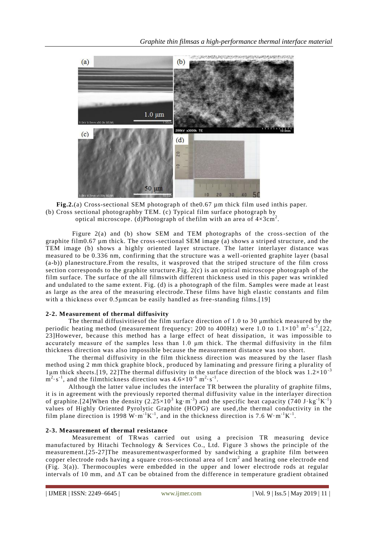

**Fig.2.**(a) Cross-sectional SEM photograph of the0.67 µm thick film used inthis paper. (b) Cross sectional photographby TEM. (c) Typical film surface photograph by optical microscope. (d)Photograph of the film with an area of  $4 \times 3 \text{cm}^2$ .

Figure 2(a) and (b) show SEM and TEM photographs of the cross-section of the graphite film0.67 µm thick. The cross-sectional SEM image (a) shows a striped structure, and the TEM image (b) shows a highly oriented layer structure. The latter interlayer distance was measured to be 0.336 nm, confirming that the structure was a well-oriented graphite layer (basal (a-b)) planestructure.From the results, it wasproved that the striped structure of the film cross section corresponds to the graphite structure. Fig.  $2(c)$  is an optical microscope photograph of the film surface. The surface of the all filmswith different thickness used in this paper was wrinkled and undulated to the same extent. Fig. (d) is a photograph of the film. Samples were made at least as large as the area of the measuring electrode.These films have high elastic constants and film with a thickness over 0.5μmcan be easily handled as free-standing films.[19]

## **2-2. Measurement of thermal diffusivity**

The thermal diffusivitiesof the film surface direction of 1.0 to 30 μmthick measured by the periodic heating method (measurement frequency: 200 to 400Hz) were 1.0 to  $1.1\times10^3$  m<sup>2</sup> $\cdot$ s<sup>-1</sup>.[22, 23]However, because this method has a large effect of heat dissipation, it was impossible to accurately measure of the samples less than 1.0 μm thick. The thermal diffusivity in the film thickness direction was also impossible because the measurement distance was too short.

The thermal diffusivity in the film thickness direction was measured by the laser flash method using 2 mm thick graphite block, produced by laminating and pressure firing a plurality of 1μm thick sheets.[19, 22]The thermal diffusivity in the surface direction of the block was  $1.2\times10^{-3}$  $m^2 \cdot s^{-1}$ , and the filmthickness direction was  $4.6 \times 10^{-6}$  m<sup>2</sup> $\cdot s^{-1}$ .

Although the latter value includes the interface TR between the plurality of graphite films, it is in agreement with the previously reported thermal diffusivity value in the interlayer direction of graphite.[24]When the density  $(2.25 \times 10^3 \text{ kg} \cdot \text{m}^{-3})$  and the specific heat capacity  $(740 \text{ J} \cdot \text{kg}^{-1} \text{K}^{-1})$ values of Highly Oriented Pyrolytic Graphite (HOPG) are used ,the thermal conductivity in the film plane direction is 1998 W $\cdot$ m<sup>-1</sup>K<sup>-1</sup>, and in the thickness direction is 7.6 W $\cdot$ m<sup>-1</sup>K<sup>-1</sup>.

## **2-3. Measurement of thermal resistance**

Measurement of TRwas carried out using a precision TR measuring device manufactured by Hitachi Technology & Services Co., Ltd. Figure 3 shows the principle of the measurement.[25-27]The measurementwasperformed by sandwiching a graphite film between copper electrode rods having a square cross-sectional area of  $1 \text{cm}^2$  and heating one electrode end  $(Fig. 3(a))$ . Thermocouples were embedded in the upper and lower electrode rods at regular intervals of 10 mm, and  $\Delta T$  can be obtained from the difference in temperature gradient obtained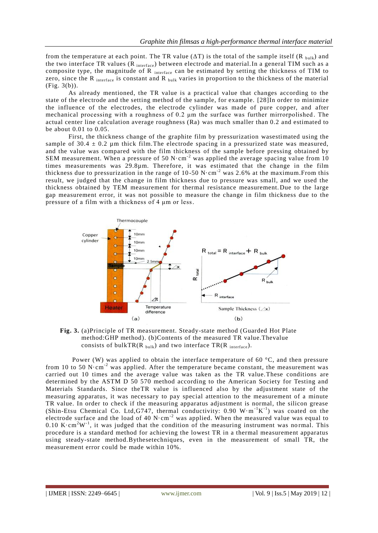from the temperature at each point. The TR value ( $\Delta T$ ) is the total of the sample itself (R bulk) and the two interface TR values (R interface) between electrode and material. In a general TIM such as a composite type, the magnitude of R interface can be estimated by setting the thickness of TIM to zero, since the R interface is constant and R bulk varies in proportion to the thickness of the material (Fig. 3(b)).

As already mentioned, the TR value is a practical value that changes according to the state of the electrode and the setting method of the sample, for example. [28]In order to minimize the influence of the electrodes, the electrode cylinder was made of pure copper, and after mechanical processing with a roughness of 0.2 μm the surface was further mirrorpolished . The actual center line calculation average roughness (Ra) was much smaller than 0.2 and estimated to be about 0.01 to 0.05.

First, the thickness change of the graphite film by pressurization wasestimated using the sample of 30.4  $\pm$  0.2 um thick film. The electrode spacing in a pressurized state was measured, and the value was compared with the film thickness of the sample before pressing obtained by SEM measurement. When a pressure of 50 N·cm<sup>-2</sup> was applied the average spacing value from 10 times measurements was 29.8µm. Therefore, it was estimated that the change in the film thickness due to pressurization in the range of 10-50 N $\cdot$ cm<sup>-2</sup> was 2.6% at the maximum. From this result, we judged that the change in film thickness due to pressure was small, and we used the thickness obtained by TEM measurement for thermal resistance measurement. Due to the large gap measurement error, it was not possible to measure the change in film thickness due to the pressure of a film with a thickness of 4 μm or less.



**Fig. 3.** (a)Principle of TR measurement. Steady-state method (Guarded Hot Plate method:GHP method). (b)Contents of the measured TR value.Thevalue consists of bulkTR( $R_{\text{bulk}}$ ) and two interface TR( $R_{\text{interface}}$ ).

Power (W) was applied to obtain the interface temperature of 60  $\degree$ C, and then pressure from 10 to 50 N $\cdot$ cm<sup>-2</sup> was applied. After the temperature became constant, the measurement was carried out 10 times and the average value was taken as the TR value.These conditions are determined by the ASTM D 50 570 method according to the American Society for Testing and Materials Standards. Since theTR value is influenced also by the adjustment state of the measuring apparatus, it was necessary to pay special attention to the measurement of a minute TR value. In order to check if the measuring apparatus adjustment is normal, the silicon grease (Shin-Etsu Chemical Co. Ltd, G747, thermal conductivity:  $0.90 \, \text{W} \cdot \text{m}^{-1} \text{K}^{-1}$ ) was coated on the electrode surface and the load of 40  $N \cdot cm^{-2}$  was applied. When the measured value was equal to 0.10 K $\cdot$ cm<sup>2</sup>W<sup>-1</sup>, it was judged that the condition of the measuring instrument was normal. This procedure is a standard method for achieving the lowest TR in a thermal measurement apparatus using steady-state method.Bythesetechniques, even in the measurement of small TR, the measurement error could be made within 10%.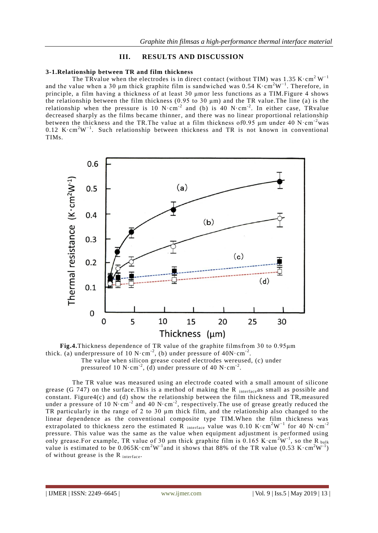## **III. RESULTS AND DISCUSSION**

## **3-1.Relationship between TR and film thickness**

The TRvalue when the electrodes is in direct contact (without TIM) was 1.35 K $\cdot$ cm<sup>2</sup>W<sup>-1</sup> and the value when a 30 µm thick graphite film is sandwiched was 0.54 K $\cdot$ cm<sup>2</sup>W<sup>-1</sup>. Therefore, in principle, a film having a thickness of at least 30 μmor less functions as a TIM.Figure 4 shows the relationship between the film thickness (0.95 to 30  $\mu$ m) and the TR value. The line (a) is the relationship when the pressure is 10 N $\cdot$ cm<sup>-2</sup> and (b) is 40 N $\cdot$ cm<sup>-2</sup>. In either case, TRvalue decreased sharply as the films became thinner, and there was no linear proportional relationship between the thickness and the TR.The value at a film thickness of 0.95  $\mu$ m under 40 N·cm<sup>-2</sup>was 0.12 K⋅cm<sup>2</sup>W<sup>-1</sup>. Such relationship between thickness and TR is not known in conventional TIMs.



**Fig.4.**Thickness dependence of TR value of the graphite filmsfrom 30 to 0.95μm thick. (a) underpressure of 10 N·cm<sup>-2</sup>, (b) under pressure of  $40N \cdot cm^{-2}$ . The value when silicon grease coated electrodes wereused, (c) under

pressure of 10 N $\cdot$ cm<sup>-2</sup>, (d) under pressure of 40 N $\cdot$ cm<sup>-2</sup>.

The TR value was measured using an electrode coated with a small amount of silicone grease (G 747) on the surface. This is a method of making the R interface as small as possible and constant. Figure4(c) and (d) show the relationship between the film thickness and TR,measured under a pressure of 10 N·cm<sup>-2</sup> and 40 N·cm<sup>-2</sup>, respectively. The use of grease greatly reduced the TR particularly in the range of 2 to 30 μm thick film, and the relationship also changed to the linear dependence as the conventional composite type TIM.When the film thickness was extrapolated to thickness zero the estimated R interface value was 0.10 K $\cdot$ cm<sup>2</sup>W<sup>-1</sup> for 40 N $\cdot$ cm<sup>-2</sup> pressure. This value was the same as the value when equipment adjustment is performed using only grease. For example, TR value of 30  $\mu$ m thick graphite film is 0.165 K·cm<sup>2</sup>W<sup>-1</sup>, so the R  $_{\text{bulk}}$ value is estimated to be  $0.065K \cdot cm^2W^{-1}$  and it shows that 88% of the TR value (0.53 K $\cdot$  cm<sup>2</sup>W<sup>-1</sup> ) of without grease is the R interface.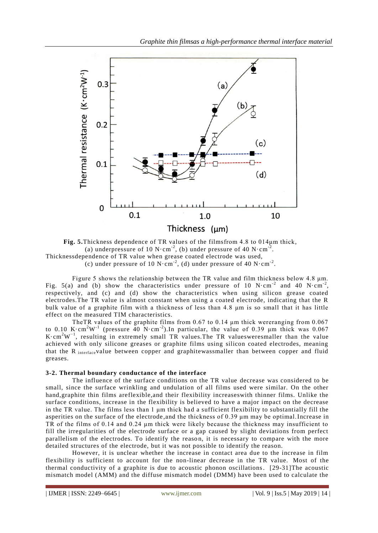

**Fig. 5.**Thickness dependence of TR values of the filmsfrom 4.8 to 014um thick, (a) underpressure of 10 N $\cdot$ cm<sup>-2</sup>, (b) under pressure of 40 N $\cdot$ cm<sup>-2</sup>. Thicknessdependence of TR value when grease coated electrode was used, (c) under pressure of 10 N $\cdot$ cm<sup>-2</sup>, (d) under pressure of 40 N $\cdot$ cm<sup>-2</sup>.

Figure 5 shows the relationship between the TR value and film thickness below 4.8 μm. Fig. 5(a) and (b) show the characteristics under pressure of 10 N·cm<sup>-2</sup> and 40 N·cm<sup>-2</sup>, respectively, and (c) and (d) show the characteristics when using silicon grease coated electrodes.The TR value is almost constant when using a coated electrode, indicating that the R bulk value of a graphite film with a thickness of less than 4.8 μm is so small that it has little effect on the measured TIM characteristics.

TheTR values of the graphite films from 0.67 to 0.14 μm thick wereranging from 0.067 to 0.10 K $\cdot$ cm<sup>2</sup>W<sup>-1</sup> (pressure 40 N $\cdot$ cm<sup>-2</sup>). In particular, the value of 0.39  $\mu$ m thick was 0.067 K $\cdot$ cm<sup>2</sup>W<sup>-1</sup>, resulting in extremely small TR values. The TR values were smaller than the value achieved with only silicone greases or graphite films using silicon coated electrodes, meaning that the R interface value between copper and graphitewassmaller than between copper and fluid greases.

## **3-2. Thermal boundary conductance of the interface**

The influence of the surface conditions on the TR value decrease was considered to be small, since the surface wrinkling and undulation of all films used were similar. On the other hand,graphite thin films areflexible,and their flexibility increaseswith thinner films. Unlike the surface conditions, increase in the flexibility is believed to have a major impact on the decrease in the TR value. The films less than 1 μm thick had a sufficient flexibility to substantially fill the asperities on the surface of the electrode,and the thickness of 0.39 μm may be optimal.Increase in TR of the films of 0.14 and 0.24 μm thick were likely because the thickness may insufficient to fill the irregularities of the electrode surface or a gap caused by slight deviations from perfect parallelism of the electrodes. To identify the reason, it is necessary to compare with the more detailed structures of the electrode, but it was not possible to identify the reason.

However, it is unclear whether the increase in contact area due to the increase in film flexibility is sufficient to account for the non-linear decrease in the TR value. Most of the thermal conductivity of a graphite is due to acoustic phonon oscillations. [29-31]The acoustic mismatch model (AMM) and the diffuse mismatch model (DMM) have been used to calculate the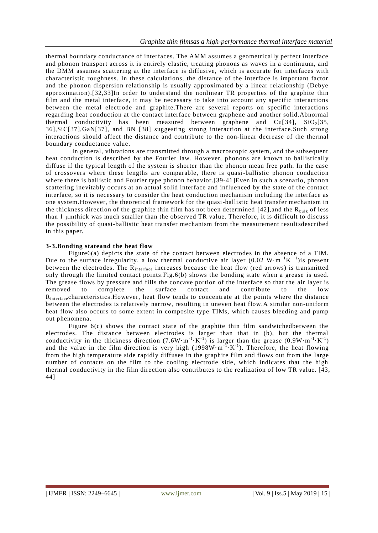thermal boundary conductance of interfaces. The AMM assumes a geometrically perfect interface and phonon transport across it is entirely elastic, treating phonons as waves in a continuum, and the DMM assumes scattering at the interface is diffusive, which is accurate for interfaces with characteristic roughness. In these calculations, the distance of the interface is important factor and the phonon dispersion relationship is usually approximated by a linear relationship (Debye approximation).[32,33]In order to understand the nonlinear TR properties of the graphite thin film and the metal interface, it may be necessary to take into account any specific interactions between the metal electrode and graphite.There are several reports on specific interactions regarding heat conduction at the contact interface between graphene and another solid.Abnormal thermal conductivity has been measured between graphene and  $Cu[34]$ ,  $SiO<sub>2</sub>[35]$ , 36],SiC[37],GaN[37], and BN [38] suggesting strong interaction at the interface.Such strong interactions should affect the distance and contribute to the non-linear decrease of the thermal boundary conductance value.

In general, vibrations are transmitted through a macroscopic system, and the subsequent heat conduction is described by the Fourier law. However, phonons are known to ballistically diffuse if the typical length of the system is shorter than the phonon mean free path. In the case of crossovers where these lengths are comparable, there is quasi-ballistic phonon conduction where there is ballistic and Fourier type phonon behavior.[39-41] Even in such a scenario, phonon scattering inevitably occurs at an actual solid interface and influenced by the state of the contact interface, so it is necessary to consider the heat conduction mechanism including the interface as one system.However, the theoretical framework for the quasi-ballistic heat transfer mechanism in the thickness direction of the graphite thin film has not been determined  $[42]$ , and the  $R_{bulk}$  of less than 1 μmthick was much smaller than the observed TR value. Therefore, it is difficult to discuss the possibility of quasi-ballistic heat transfer mechanism from the measurement resultsdescribed in this paper.

## **3-3.Bonding stateand the heat flow**

Figure6(a) depicts the state of the contact between electrodes in the absence of a TIM. Due to the surface irregularity, a low thermal conductive air layer  $(0.02 \text{ W} \cdot \text{m}^{-1} \text{K}^{-1})$ is present between the electrodes. The R<sub>interface</sub> increases because the heat flow (red arrows) is transmitted only through the limited contact points.Fig.6(b) shows the bonding state when a grease is used. The grease flows by pressure and fills the concave portion of the interface so that the air layer is removed to complete the surface contact and contribute to the low R<sub>interface</sub> characteristics. However, heat flow tends to concentrate at the points where the distance between the electrodes is relatively narrow, resulting in uneven heat flow.A similar non-uniform heat flow also occurs to some extent in composite type TIMs, which causes bleeding and pump out phenomena.

Figure  $6(c)$  shows the contact state of the graphite thin film sandwichedbetween the electrodes. The distance between electrodes is larger than that in (b), but the thermal conductivity in the thickness direction  $(7.6W \cdot m^{-1} \cdot K^{-1})$  is larger than the grease  $(0.9W \cdot m^{-1} \cdot K^{-1})$ and the value in the film direction is very high  $(1998W \cdot m^{-1} \cdot K^{-1})$ . Therefore, the heat flowing from the high temperature side rapidly diffuses in the graphite film and flows out from the large number of contacts on the film to the cooling electrode side, which indicates that the high thermal conductivity in the film direction also contributes to the realization of low TR value. [43, 44]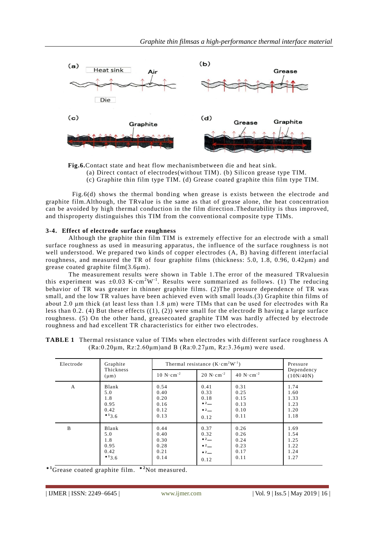

**Fig.6.**Contact state and heat flow mechanismbetween die and heat sink.

(a) Direct contact of electrodes(without TIM). (b) Silicon grease type TIM.

(c) Graphite thin film type TIM. (d) Grease coated graphite thin film type TIM.

Fig.6(d) shows the thermal bonding when grease is exists between the electrode and graphite film.Although, the TRvalue is the same as that of grease alone, the heat concentration can be avoided by high thermal conduction in the film direction .Thedurability is thus improved, and thisproperty distinguishes this TIM from the conventional composite type TIMs.

#### **3-4. Effect of electrode surface roughness**

Although the graphite thin film TIM is extremely effective for an electrode with a small surface roughness as used in measuring apparatus, the influence of the surface roughness is not well understood. We prepared two kinds of copper electrodes (A, B) having different interfacial roughness, and measured the TR of four graphite films (thickness: 5.0, 1.8, 0.96, 0.42μm) and grease coated graphite film(3.6μm).

The measurement results were shown in Table 1.The error of the measured TRvaluesin this experiment was  $\pm 0.03$  K $\cdot$ cm<sup>2</sup>W<sup>-1</sup>. Results were summarized as follows. (1) The reducing behavior of TR was greater in thinner graphite films. (2)The pressure dependence of TR was small, and the low TR values have been achieved even with small loads.(3) Graphite thin films of about 2.0 μm thick (at least less than 1.8 μm) were TIMs that can be used for electrodes with Ra less than 0.2. (4) But these effects  $((1), (2))$  were small for the electrode B having a large surface roughness. (5) On the other hand, greasecoated graphite TIM was hardly affected by electrode roughness and had excellent TR characteristics for either two electrodes.

| <b>TABLE 1</b> Thermal resistance value of TIMs when electrodes with different surface roughness A |
|----------------------------------------------------------------------------------------------------|
| $(Ra:0.20\mu m, Rz:2.60\mu m)$ and B $(Ra:0.27\mu m, Rz:3.36\mu m)$ were used.                     |

| Electrode    | Graphite<br>Thickness<br>$(\mu m)$ | Thermal resistance $(K \cdot cm^2 W^{-1})$ |                                     |                                     | Pressure                |
|--------------|------------------------------------|--------------------------------------------|-------------------------------------|-------------------------------------|-------------------------|
|              |                                    | $10 N \cdot cm^{-2}$                       | $20 \text{ N} \cdot \text{cm}^{-2}$ | $40 \text{ N} \cdot \text{cm}^{-2}$ | Dependency<br>(10N/40N) |
| $\mathbf{A}$ | Blank                              | 0.54                                       | 0.41                                | 0.31                                | 1.74                    |
|              | 5.0                                | 0.40                                       | 0.33                                | 0.25                                | 1.60                    |
|              | 1.8                                | 0.20                                       | 0.18                                | 0.15                                | 1.33                    |
|              | 0.95                               | 0.16                                       | $^{\ast 2}$                         | 0.13                                | 1.23                    |
|              | 0.42                               | 0.12                                       | $*2$                                | 0.10                                | 1.20                    |
|              | $*13.6$                            | 0.13                                       | 0.12                                | 0.11                                | 1.18                    |
| B            | Blank                              | 0.44                                       | 0.37                                | 0.26                                | 1.69                    |
|              | 5.0                                | 0.40                                       | 0.32                                | 0.26                                | 1.54                    |
|              | 1.8                                | 0.30                                       | $2 -$                               | 0.24                                | 1.25                    |
|              | 0.95                               | 0.28                                       | $*2$                                | 0.23                                | 1.22                    |
|              | 0.42                               | 0.21                                       | $*2$                                | 0.17                                | 1.24                    |
|              | $*13.6$                            | 0.14                                       | 0.12                                | 0.11                                | 1.27                    |

\***<sup>1</sup>**Grease coated graphite film. \***<sup>2</sup>**Not measured.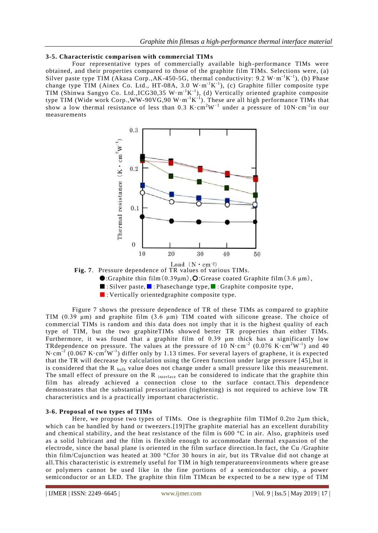#### **3-5. Characteristic comparison with commercial TIMs**

Four representative types of commercially available high -performance TIMs were obtained, and their properties compared to those of the graphite film TIMs. Selections were, (a) Silver paste type TIM (Akasa Corp., AK-450-5G, thermal conductivity: 9.2 W·m<sup>-1</sup>K<sup>-1</sup>), (b) Phase change type TIM (Ainex Co. Ltd., HT-08A, 3.0  $W \cdot m^{-1}K^{-1}$ ), (c) Graphite filler composite type TIM (Shinwa Sangyo Co. Ltd., ICG30, 35 W·m<sup>-1</sup>K<sup>-1</sup>), (d) Vertically oriented graphite composite type TIM (Wide work Corp., WW-90VG, 90 W $\cdot$ m<sup>-1</sup>K<sup>-1</sup>). These are all high performance TIMs that show a low thermal resistance of less than 0.3 K·cm<sup>2</sup>W−1 under a pressure of 10N·cm-2 in our measurements



**Fig. 7**. Pressure dependence of TR values of various TIMs.

- $\bullet$ :Graphite thin film(0.39 $\mu$ m), O:Grease coated Graphite film(3.6  $\mu$ m),
- ■: Silver paste, ■: Phasechange type, ■: Graphite composite type,
- : Vertically orientedgraphite composite type.

Figure 7 shows the pressure dependence of TR of these TIMs as compared to graphite TIM (0.39 μm) and graphite film (3.6 μm) TIM coated with silicone grease. The choice of commercial TIMs is random and this data does not imply that it is the highest quality of each type of TIM, but the two graphiteTIMs showed better TR properties than either TIMs. Furthermore, it was found that a graphite film of 0.39 μm thick has a significantly low TRdependence on pressure. The values at the pressure of 10 N·cm<sup>-2</sup> (0.076 K·cm<sup>2</sup>W<sup>-1</sup>) and 40 N·cm<sup>-2</sup> (0.067 K·cm<sup>2</sup>W<sup>-1</sup>) differ only by 1.13 times. For several layers of graphene, it is expected that the TR will decrease by calculation using the Green function under large pressure [45],but it is considered that the R  $_{\text{bulk}}$  value does not change under a small pressure like this measurement. The small effect of pressure on the R interface can be considered to indicate that the graphite thin film has already achieved a connection close to the surface contact.This dependence demonstrates that the substantial pressurization (tightening) is not required to achieve low TR characteristics and is a practically important characteristic.

#### **3-6. Proposal of two types of TIMs**

Here, we propose two types of TIMs. One is thegraphite film TIMof 0.2to 2μm thick, which can be handled by hand or tweezers. [19] The graphite material has an excellent durability and chemical stability, and the heat resistance of the film is 600 °C in air. Also, graphiteis used as a solid lubricant and the film is flexible enough to accommodate thermal expansion of the electrode, since the basal plane is oriented in the film surface direction.In fact, the Cu /Graphite thin film/Cujunction was heated at 300 °Cfor 30 hours in air, but its TRvalue did not change at all.This characteristic is extremely useful for TIM in high temperatureenvironments where gre ase or polymers cannot be used like in the fine portions of a semiconductor chip, a power semiconductor or an LED. The graphite thin film TIMcan be expected to be a new type of TIM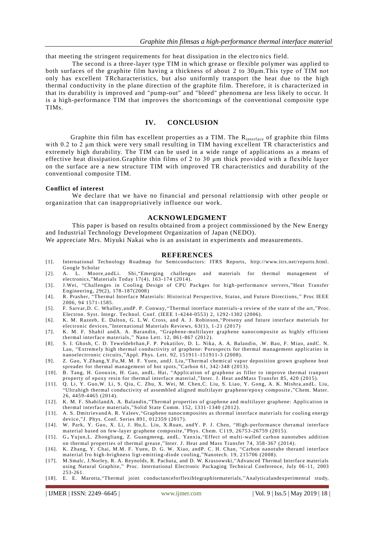that meeting the stringent requirements for heat dissipation in the electro nics field.

The second is a three-layer type TIM in which grease or flexible polymer was applied to both surfaces of the graphite film having a thickness of about 2 to 30μm.This type of TIM not only has excellent TRcharacteristics, but also uniformly transport the heat due to the high thermal conductivity in the plane direction of the graphite film. Therefore, it is characterized in that its durability is improved and "pump-out" and "bleed" phenomena are less likely to occur. It is a high-performance TIM that improves the shortcomings of the conventional composite type TIMs.

#### **IV. CONCLUSION**

Graphite thin film has excellent properties as a TIM. The Rinterface of graphite thin films with 0.2 to 2 μm thick were very small resulting in TIM having excellent TR characteristics and extremely high durability. The TIM can be used in a wide range of applications as a means of effective heat dissipation.Graphite thin films of 2 to 30 μm thick provided with a flexible layer on the surface are a new structure TIM with improved TR characteristics and durability of the conventional composite TIM.

#### **Conflict of interest**

We declare that we have no financial and personal relattionsip with other people or organization that can inappropriatively influence our work.

#### **ACKNOWLEDGMENT**

This paper is based on results obtained from a project commissioned by the New Energy and Industrial Technology Development Organization of Japan (NEDO).

We appreciate Mrs. Miyuki Nakai who is an assistant in experiments and measurements.

#### **REFERENCES**

- [1]. International Technology Roadmap for Semiconductors: ITRS Reports, [http://www.itrs.net/reports.html.](http://www.itrs.net/reports.html) [Google Scholar](https://scholar.google.com/scholar?q=International%20Technology%20Roadmap%20for%20Semiconductors:%20ITRS%20Reports,%20http:www.itrs.netreports.html.)
- [2]. A. L. Moore,andLi. Shi,"Emerging challenges and materials for thermal management of electronics,"Materials Today  $17(4)$ ,  $163-174$  (2014).
- [3]. J.Wei, "Challenges in Cooling Design of CPU Packges for high -performance servers, "Heat Transfer Engineering, 29(2), 178 -187(2008)
- [4]. R. Prasher, "Thermal Interface Materials: Historical Perspective, Status, and Future Directions, " Proc IEEE 2006, 94 1571-1585.
- [5]. F. Sarvar,D. C. Whalley,andP. P. Conway,"Thermal interface materials-a review of the state of the art, "Proc. Electron. Syst. Integr. Technol. Conf. (IEEE 1-4244-0553) 2, 1292-1302 (2006).
- [6]. K. M. Razeeb, E. Dalton, G. L.W. Cross, and A. J. Robinson,"Preseny and future interface materials for electronic devices, "International Materials Reviews, 63(1), 1 -21 (2017)
- [7]. K. M. F. Shahil andA. A. Barandin, "Graphene-multilayer graphene nanocomposite as highly efficient thermal interface materials," Nano Lett. 12, 861-867 (2012).
- [8]. S. I. Ghosh, C. D. Teweldebrhan,F. P. Pokatilov, D. L. Nika, A. A. Balandin, .W. Bao, F. Miao, andC. N. Lau, "Extremely high thermal conductivity of graphene: Porospects for thermal management applicatins in nanoelectrronic circuits,"Appl. Phys. Lett. 92, 151911 -151911-3 (2008).
- [9]. Z. Gao, Y.Zhang,Y.Fu,M. M. F. Yuen, andJ. Liu,"Thermal chemical vapor deposition grown graphene heat spreader for thermal management of hot spots,"Carbon 61, 342-348 (2013).
- [10]. B. Tang, H. Goouxin, H. Gao, andL. Hai, "Application of graphene as filler to improve thermal tranport property of epoxy resin for thermal interface material ,"Inter. J. Heat andMass Transfer 85, 420 (2015).
- [11]. Q. Li, Y. Guo,W. Li, S. Qiu, C. Zhu, X. Wei, M. Chen,C. Liu, S. Liao, Y. Gong, A. K. Mishra,andL. Liu, "Ultrahigh thermal conductivity of assembled aligned multilayer graphene/epoxy composite ,"Chem. Mater. 26, 4459-4465 (2014).
- [12]. K. M. F. ShahilandA. A. Balandin,"Thermal properties of graphene and multilayer graphene: Application in thermal interface materials,"Solid State Comm. 152, 1331 -1340 (2012).
- [13]. A. S. DmitrievandA. R. Valeev,"Graphene nanocomposites as thremal interface materials for cooling energy device,"J. Phys. Conf. Series 891, 012359 (2017).
- [14]. W. Park, Y. Guo, X. Li, J. Hu,L. Liu, X.Ruan, andY. P. J. Chen, "High-performance theramal interface material based on few-layer graphene composite,"Phys. Chem. C119, 26753 -26759 (2015).
- [15]. G。Yujun,L. Zhongliang, Z. Guangmeng, andL. Yanxia,"Effect of multi-walled carbon nanotubes addition on thermal properties of thermal grease ,"Inter. J. Heat and Mass Transfer 74, 358 -367 (2014).
- [16]. K. Zhang, Y. Chai, M.M. F. Yuen, D. G. W. Xiao, andP. C. H. Chan, "Carbon nanotube theraml interface material fro high-brighness ligt-emitting-diode cooling,"Nanotech. 19, 215706 (2008).
- [17]. M.Smalc, J.Norley, R. A. Reynolds, R. Pachuta, and D. W. Krassowski,"Advanced Thermal Interface materials using Natural Graphite," Proc. International Electronic Packaging Technical Conference, July 06 -11, 2003 253-261.
- [18]. E. E. Marotta,"Thermal joint conductanceforflexiblegraphitematerials, "Analyticalandexperimental study,